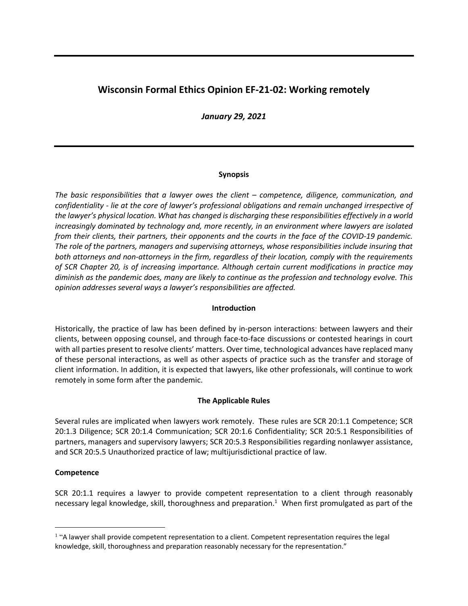# **Wisconsin Formal Ethics Opinion EF-21-02: Working remotely**

*January 29, 2021*

# **Synopsis**

*The basic responsibilities that a lawyer owes the client – competence, diligence, communication, and confidentiality - lie at the core of lawyer's professional obligations and remain unchanged irrespective of the lawyer's physical location. What has changed is discharging these responsibilities effectively in a world increasingly dominated by technology and, more recently, in an environment where lawyers are isolated from their clients, their partners, their opponents and the courts in the face of the COVID-19 pandemic. The role of the partners, managers and supervising attorneys, whose responsibilities include insuring that both attorneys and non-attorneys in the firm, regardless of their location, comply with the requirements of SCR Chapter 20, is of increasing importance. Although certain current modifications in practice may diminish as the pandemic does, many are likely to continue as the profession and technology evolve. This opinion addresses several ways a lawyer's responsibilities are affected.* 

# **Introduction**

Historically, the practice of law has been defined by in-person interactions: between lawyers and their clients, between opposing counsel, and through face-to-face discussions or contested hearings in court with all parties present to resolve clients' matters. Over time, technological advances have replaced many of these personal interactions, as well as other aspects of practice such as the transfer and storage of client information. In addition, it is expected that lawyers, like other professionals, will continue to work remotely in some form after the pandemic.

# **The Applicable Rules**

Several rules are implicated when lawyers work remotely. These rules are SCR 20:1.1 Competence; SCR 20:1.3 Diligence; SCR 20:1.4 Communication; SCR 20:1.6 Confidentiality; SCR 20:5.1 Responsibilities of partners, managers and supervisory lawyers; SCR 20:5.3 Responsibilities regarding nonlawyer assistance, and SCR 20:5.5 Unauthorized practice of law; multijurisdictional practice of law.

# **Competence**

 $\overline{a}$ 

SCR 20:1.1 requires a lawyer to provide competent representation to a client through reasonably necessary legal knowledge, skill, thoroughness and preparation.<sup>1</sup> When first promulgated as part of the

 $<sup>1</sup>$  "A lawyer shall provide competent representation to a client. Competent representation requires the legal</sup> knowledge, skill, thoroughness and preparation reasonably necessary for the representation."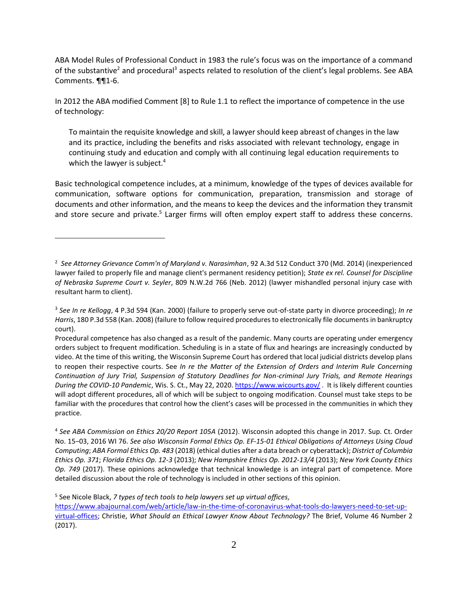ABA Model Rules of Professional Conduct in 1983 the rule's focus was on the importance of a command of the substantive<sup>2</sup> and procedural<sup>3</sup> aspects related to resolution of the client's legal problems. See ABA Comments. ¶¶1-6.

In 2012 the ABA modified Comment [8] to Rule 1.1 to reflect the importance of competence in the use of technology:

To maintain the requisite knowledge and skill, a lawyer should keep abreast of changes in the law and its practice, including the benefits and risks associated with relevant technology, engage in continuing study and education and comply with all continuing legal education requirements to which the lawyer is subject.<sup>4</sup>

Basic technological competence includes, at a minimum, knowledge of the types of devices available for communication, software options for communication, preparation, transmission and storage of documents and other information, and the means to keep the devices and the information they transmit and store secure and private.<sup>5</sup> Larger firms will often employ expert staff to address these concerns.

<sup>2</sup> *See Attorney Grievance Comm'n of Maryland v. Narasimhan*, 92 A.3d 512 Conduct 370 (Md. 2014) (inexperienced lawyer failed to properly file and manage client's permanent residency petition); *State ex rel. Counsel for Discipline of Nebraska Supreme Court v. Seyler*, 809 N.W.2d 766 (Neb. 2012) (lawyer mishandled personal injury case with resultant harm to client).

<sup>3</sup> *See In re Kellogg*, 4 P.3d 594 (Kan. 2000) (failure to properly serve out-of-state party in divorce proceeding); *In re Harris*, 180 P.3d 558 (Kan. 2008) (failure to follow required procedures to electronically file documents in bankruptcy court).

Procedural competence has also changed as a result of the pandemic. Many courts are operating under emergency orders subject to frequent modification. Scheduling is in a state of flux and hearings are increasingly conducted by video. At the time of this writing, the Wisconsin Supreme Court has ordered that local judicial districts develop plans to reopen their respective courts. See *In re the Matter of the Extension of Orders and Interim Rule Concerning Continuation of Jury Trial, Suspension of Statutory Deadlines for Non-criminal Jury Trials, and Remote Hearings During the COVID-10 Pandemic*, Wis. S. Ct., May 22, 2020[. https://www.wicourts.gov/](https://www.wicourts.gov/) . It is likely different counties will adopt different procedures, all of which will be subject to ongoing modification. Counsel must take steps to be familiar with the procedures that control how the client's cases will be processed in the communities in which they practice.

<sup>4</sup> *See ABA Commission on Ethics 20/20 Report 105A* (2012). Wisconsin adopted this change in 2017. Sup. Ct. Order No. 15−03, 2016 WI 76. *See also Wisconsin Formal Ethics Op. EF-15-01 Ethical Obligations of Attorneys Using Cloud Computing*; *ABA Formal Ethics Op. 483* (2018) (ethical duties after a data breach or cyberattack); *District of Columbia Ethics Op. 371*; *Florida Ethics Op. 12-3* (2013); *New Hampshire Ethics Op. 2012-13/4* (2013); *New York County Ethics Op. 749* (2017). These opinions acknowledge that technical knowledge is an integral part of competence. More detailed discussion about the role of technology is included in other sections of this opinion.

<sup>5</sup> See Nicole Black, *7 types of tech tools to help lawyers set up virtual offices,*

[https://www.abajournal.com/web/article/law-in-the-time-of-coronavirus-what-tools-do-lawyers-need-to-set-up](https://www.abajournal.com/web/article/law-in-the-time-of-coronavirus-what-tools-do-lawyers-need-to-set-up-virtual-offices)[virtual-offices;](https://www.abajournal.com/web/article/law-in-the-time-of-coronavirus-what-tools-do-lawyers-need-to-set-up-virtual-offices) Christie, *What Should an Ethical Lawyer Know About Technology?* The Brief, Volume 46 Number 2 (2017).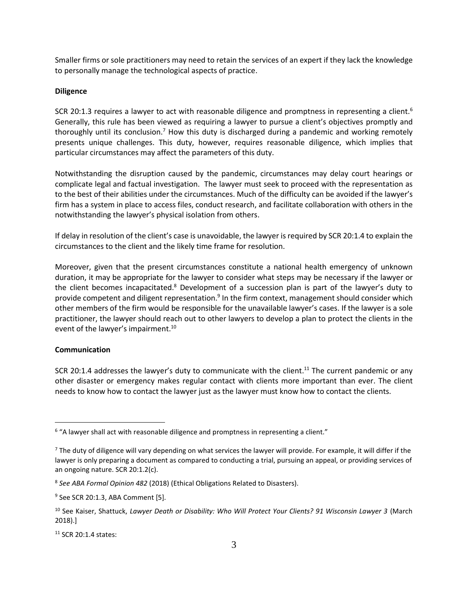Smaller firms or sole practitioners may need to retain the services of an expert if they lack the knowledge to personally manage the technological aspects of practice.

# **Diligence**

SCR 20:1.3 requires a lawyer to act with reasonable diligence and promptness in representing a client.<sup>6</sup> Generally, this rule has been viewed as requiring a lawyer to pursue a client's objectives promptly and thoroughly until its conclusion.<sup>7</sup> How this duty is discharged during a pandemic and working remotely presents unique challenges. This duty, however, requires reasonable diligence, which implies that particular circumstances may affect the parameters of this duty.

Notwithstanding the disruption caused by the pandemic, circumstances may delay court hearings or complicate legal and factual investigation. The lawyer must seek to proceed with the representation as to the best of their abilities under the circumstances. Much of the difficulty can be avoided if the lawyer's firm has a system in place to access files, conduct research, and facilitate collaboration with others in the notwithstanding the lawyer's physical isolation from others.

If delay in resolution of the client's case is unavoidable, the lawyer is required by SCR 20:1.4 to explain the circumstances to the client and the likely time frame for resolution.

Moreover, given that the present circumstances constitute a national health emergency of unknown duration, it may be appropriate for the lawyer to consider what steps may be necessary if the lawyer or the client becomes incapacitated.<sup>8</sup> Development of a succession plan is part of the lawyer's duty to provide competent and diligent representation.<sup>9</sup> In the firm context, management should consider which other members of the firm would be responsible for the unavailable lawyer's cases. If the lawyer is a sole practitioner, the lawyer should reach out to other lawyers to develop a plan to protect the clients in the event of the lawyer's impairment.<sup>10</sup>

# **Communication**

 $\overline{a}$ 

SCR 20:1.4 addresses the lawyer's duty to communicate with the client.<sup>11</sup> The current pandemic or any other disaster or emergency makes regular contact with clients more important than ever. The client needs to know how to contact the lawyer just as the lawyer must know how to contact the clients.

 $6$  "A lawyer shall act with reasonable diligence and promptness in representing a client."

 $<sup>7</sup>$  The duty of diligence will vary depending on what services the lawyer will provide. For example, it will differ if the</sup> lawyer is only preparing a document as compared to conducting a trial, pursuing an appeal, or providing services of an ongoing nature. SCR 20:1.2(c).

<sup>8</sup> *See ABA Formal Opinion 482* (2018) (Ethical Obligations Related to Disasters).

<sup>9</sup> See SCR 20:1.3, ABA Comment [5].

<sup>10</sup> See Kaiser, Shattuck, *Lawyer Death or Disability: Who Will Protect Your Clients? 91 Wisconsin Lawyer 3* (March 2018).]

 $11$  SCR 20:1.4 states: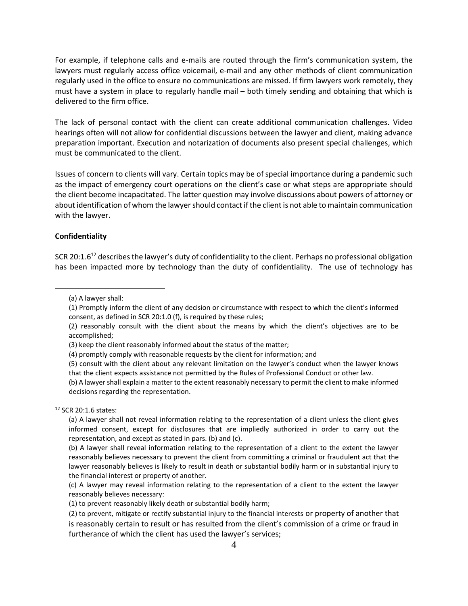For example, if telephone calls and e-mails are routed through the firm's communication system, the lawyers must regularly access office voicemail, e-mail and any other methods of client communication regularly used in the office to ensure no communications are missed. If firm lawyers work remotely, they must have a system in place to regularly handle mail – both timely sending and obtaining that which is delivered to the firm office.

The lack of personal contact with the client can create additional communication challenges. Video hearings often will not allow for confidential discussions between the lawyer and client, making advance preparation important. Execution and notarization of documents also present special challenges, which must be communicated to the client.

Issues of concern to clients will vary. Certain topics may be of special importance during a pandemic such as the impact of emergency court operations on the client's case or what steps are appropriate should the client become incapacitated. The latter question may involve discussions about powers of attorney or about identification of whom the lawyer should contact if the client is not able to maintain communication with the lawyer.

### **Confidentiality**

 $\overline{a}$ 

SCR 20:1.6<sup>12</sup> describes the lawyer's duty of confidentiality to the client. Perhaps no professional obligation has been impacted more by technology than the duty of confidentiality. The use of technology has

<sup>12</sup> SCR 20:1.6 states:

<sup>(</sup>a) A lawyer shall:

<sup>(1)</sup> Promptly inform the client of any decision or circumstance with respect to which the client's informed consent, as defined in SCR 20:1.0 (f), is required by these rules;

<sup>(2)</sup> reasonably consult with the client about the means by which the client's objectives are to be accomplished;

<sup>(3)</sup> keep the client reasonably informed about the status of the matter;

<sup>(4)</sup> promptly comply with reasonable requests by the client for information; and

<sup>(5)</sup> consult with the client about any relevant limitation on the lawyer's conduct when the lawyer knows that the client expects assistance not permitted by the Rules of Professional Conduct or other law.

<sup>(</sup>b) A lawyer shall explain a matter to the extent reasonably necessary to permit the client to make informed decisions regarding the representation.

<sup>(</sup>a) A lawyer shall not reveal information relating to the representation of a client unless the client gives informed consent, except for disclosures that are impliedly authorized in order to carry out the representation, and except as stated in pars. (b) and (c).

<sup>(</sup>b) A lawyer shall reveal information relating to the representation of a client to the extent the lawyer reasonably believes necessary to prevent the client from committing a criminal or fraudulent act that the lawyer reasonably believes is likely to result in death or substantial bodily harm or in substantial injury to the financial interest or property of another.

<sup>(</sup>c) A lawyer may reveal information relating to the representation of a client to the extent the lawyer reasonably believes necessary:

<sup>(1)</sup> to prevent reasonably likely death or substantial bodily harm;

<sup>(2)</sup> to prevent, mitigate or rectify substantial injury to the financial interests or property of another that is reasonably certain to result or has resulted from the client's commission of a crime or fraud in furtherance of which the client has used the lawyer's services;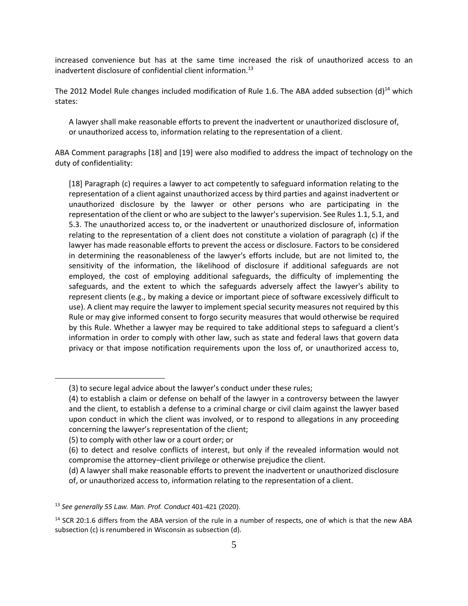increased convenience but has at the same time increased the risk of unauthorized access to an inadvertent disclosure of confidential client information.<sup>13</sup>

The 2012 Model Rule changes included modification of Rule 1.6. The ABA added subsection (d)<sup>14</sup> which states:

A lawyer shall make reasonable efforts to prevent the inadvertent or unauthorized disclosure of, or unauthorized access to, information relating to the representation of a client.

ABA Comment paragraphs [18] and [19] were also modified to address the impact of technology on the duty of confidentiality:

[18] Paragraph (c) requires a lawyer to act competently to safeguard information relating to the representation of a client against unauthorized access by third parties and against inadvertent or unauthorized disclosure by the lawyer or other persons who are participating in the representation of the client or who are subject to the lawyer's supervision. See Rules 1.1, 5.1, and 5.3. The unauthorized access to, or the inadvertent or unauthorized disclosure of, information relating to the representation of a client does not constitute a violation of paragraph (c) if the lawyer has made reasonable efforts to prevent the access or disclosure. Factors to be considered in determining the reasonableness of the lawyer's efforts include, but are not limited to, the sensitivity of the information, the likelihood of disclosure if additional safeguards are not employed, the cost of employing additional safeguards, the difficulty of implementing the safeguards, and the extent to which the safeguards adversely affect the lawyer's ability to represent clients (e.g., by making a device or important piece of software excessively difficult to use). A client may require the lawyer to implement special security measures not required by this Rule or may give informed consent to forgo security measures that would otherwise be required by this Rule. Whether a lawyer may be required to take additional steps to safeguard a client's information in order to comply with other law, such as state and federal laws that govern data privacy or that impose notification requirements upon the loss of, or unauthorized access to,

(5) to comply with other law or a court order; or

<sup>(3)</sup> to secure legal advice about the lawyer's conduct under these rules;

<sup>(4)</sup> to establish a claim or defense on behalf of the lawyer in a controversy between the lawyer and the client, to establish a defense to a criminal charge or civil claim against the lawyer based upon conduct in which the client was involved, or to respond to allegations in any proceeding concerning the lawyer's representation of the client;

<sup>(6)</sup> to detect and resolve conflicts of interest, but only if the revealed information would not compromise the attorney−client privilege or otherwise prejudice the client.

<sup>(</sup>d) A lawyer shall make reasonable efforts to prevent the inadvertent or unauthorized disclosure of, or unauthorized access to, information relating to the representation of a client.

<sup>13</sup> *See generally 55 Law. Man. Prof. Conduct* 401-421 (2020).

<sup>&</sup>lt;sup>14</sup> SCR 20:1.6 differs from the ABA version of the rule in a number of respects, one of which is that the new ABA subsection (c) is renumbered in Wisconsin as subsection (d).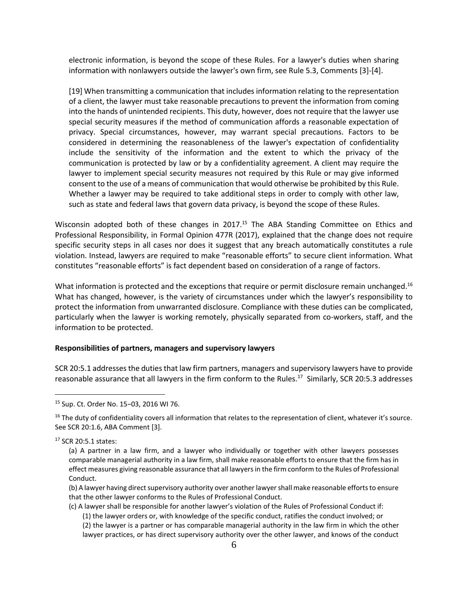electronic information, is beyond the scope of these Rules. For a lawyer's duties when sharing information with nonlawyers outside the lawyer's own firm, see Rule 5.3, Comments [3]-[4].

[19] When transmitting a communication that includes information relating to the representation of a client, the lawyer must take reasonable precautions to prevent the information from coming into the hands of unintended recipients. This duty, however, does not require that the lawyer use special security measures if the method of communication affords a reasonable expectation of privacy. Special circumstances, however, may warrant special precautions. Factors to be considered in determining the reasonableness of the lawyer's expectation of confidentiality include the sensitivity of the information and the extent to which the privacy of the communication is protected by law or by a confidentiality agreement. A client may require the lawyer to implement special security measures not required by this Rule or may give informed consent to the use of a means of communication that would otherwise be prohibited by this Rule. Whether a lawyer may be required to take additional steps in order to comply with other law, such as state and federal laws that govern data privacy, is beyond the scope of these Rules.

Wisconsin adopted both of these changes in 2017.<sup>15</sup> The ABA Standing Committee on Ethics and Professional Responsibility, in Formal Opinion 477R (2017), explained that the change does not require specific security steps in all cases nor does it suggest that any breach automatically constitutes a rule violation. Instead, lawyers are required to make "reasonable efforts" to secure client information. What constitutes "reasonable efforts" is fact dependent based on consideration of a range of factors.

What information is protected and the exceptions that require or permit disclosure remain unchanged.<sup>16</sup> What has changed, however, is the variety of circumstances under which the lawyer's responsibility to protect the information from unwarranted disclosure. Compliance with these duties can be complicated, particularly when the lawyer is working remotely, physically separated from co-workers, staff, and the information to be protected.

#### **Responsibilities of partners, managers and supervisory lawyers**

SCR 20:5.1 addresses the duties that law firm partners, managers and supervisory lawyers have to provide reasonable assurance that all lawyers in the firm conform to the Rules.<sup>17</sup> Similarly, SCR 20:5.3 addresses

<sup>15</sup> Sup. Ct. Order No. 15−03, 2016 WI 76.

 $16$  The duty of confidentiality covers all information that relates to the representation of client, whatever it's source. See SCR 20:1.6, ABA Comment [3].

<sup>17</sup> SCR 20:5.1 states:

- (b) A lawyer having direct supervisory authority over another lawyer shall make reasonable efforts to ensure that the other lawyer conforms to the Rules of Professional Conduct.
- (c) A lawyer shall be responsible for another lawyer's violation of the Rules of Professional Conduct if: (1) the lawyer orders or, with knowledge of the specific conduct, ratifies the conduct involved; or (2) the lawyer is a partner or has comparable managerial authority in the law firm in which the other

lawyer practices, or has direct supervisory authority over the other lawyer, and knows of the conduct

<sup>(</sup>a) A partner in a law firm, and a lawyer who individually or together with other lawyers possesses comparable managerial authority in a law firm, shall make reasonable efforts to ensure that the firm has in effect measures giving reasonable assurance that all lawyers in the firm conform to the Rules of Professional Conduct.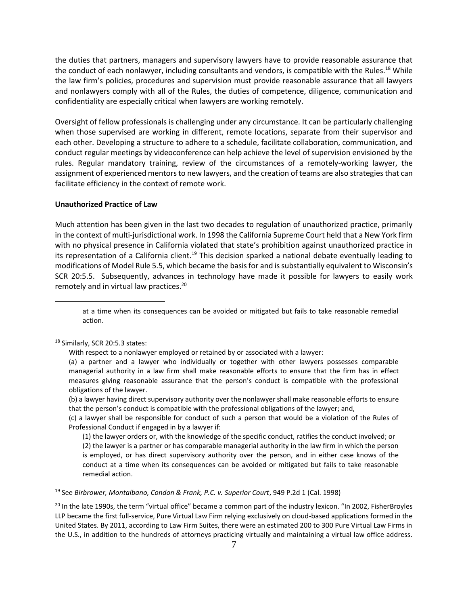the duties that partners, managers and supervisory lawyers have to provide reasonable assurance that the conduct of each nonlawyer, including consultants and vendors, is compatible with the Rules.<sup>18</sup> While the law firm's policies, procedures and supervision must provide reasonable assurance that all lawyers and nonlawyers comply with all of the Rules, the duties of competence, diligence, communication and confidentiality are especially critical when lawyers are working remotely.

Oversight of fellow professionals is challenging under any circumstance. It can be particularly challenging when those supervised are working in different, remote locations, separate from their supervisor and each other. Developing a structure to adhere to a schedule, facilitate collaboration, communication, and conduct regular meetings by videoconference can help achieve the level of supervision envisioned by the rules. Regular mandatory training, review of the circumstances of a remotely-working lawyer, the assignment of experienced mentors to new lawyers, and the creation of teams are also strategies that can facilitate efficiency in the context of remote work.

### **Unauthorized Practice of Law**

Much attention has been given in the last two decades to regulation of unauthorized practice, primarily in the context of multi-jurisdictional work. In 1998 the California Supreme Court held that a New York firm with no physical presence in California violated that state's prohibition against unauthorized practice in its representation of a California client.<sup>19</sup> This decision sparked a national debate eventually leading to modifications of Model Rule 5.5, which became the basis for and is substantially equivalent to Wisconsin's SCR 20:5.5. Subsequently, advances in technology have made it possible for lawyers to easily work remotely and in virtual law practices.<sup>20</sup>

at a time when its consequences can be avoided or mitigated but fails to take reasonable remedial action.

### <sup>18</sup> Similarly, SCR 20:5.3 states:

 $\overline{a}$ 

With respect to a nonlawyer employed or retained by or associated with a lawyer:

(a) a partner and a lawyer who individually or together with other lawyers possesses comparable managerial authority in a law firm shall make reasonable efforts to ensure that the firm has in effect measures giving reasonable assurance that the person's conduct is compatible with the professional obligations of the lawyer.

(b) a lawyer having direct supervisory authority over the nonlawyer shall make reasonable efforts to ensure that the person's conduct is compatible with the professional obligations of the lawyer; and,

(c) a lawyer shall be responsible for conduct of such a person that would be a violation of the Rules of Professional Conduct if engaged in by a lawyer if:

(1) the lawyer orders or, with the knowledge of the specific conduct, ratifies the conduct involved; or (2) the lawyer is a partner or has comparable managerial authority in the law firm in which the person is employed, or has direct supervisory authority over the person, and in either case knows of the conduct at a time when its consequences can be avoided or mitigated but fails to take reasonable remedial action.

<sup>19</sup> See *[Birbrower, Montalbano, Condon & Frank, P.C. v. Superior Court](https://scholar.google.com/scholar_case?case=17875531284498988901&q=Birbrower,+Montalbano,+Condon+%26+Frank,+P.C.+v.+Superior+Court,+949+P.2d+1,+5-6&hl=en&as_sdt=20000006)*, 949 P.2d 1 (Cal. 1998)

 $20$  In the late 1990s, the term "virtual office" became a common part of the industry lexicon. "In 2002, FisherBroyles [LLP](http://www.abajournal.com/news/article/another_virtual_law_firm_allows_lawyers_to_work_less_earn_more/) became the first full-service, Pure Virtual Law Firm relying exclusively on cloud-based applications formed in the United States. By 2011, according to Law Firm Suites, there were an estimated 200 to 300 Pure Virtual Law Firms in the U.S., in addition to the hundreds of attorneys practicing virtually and maintaining a virtual law office address.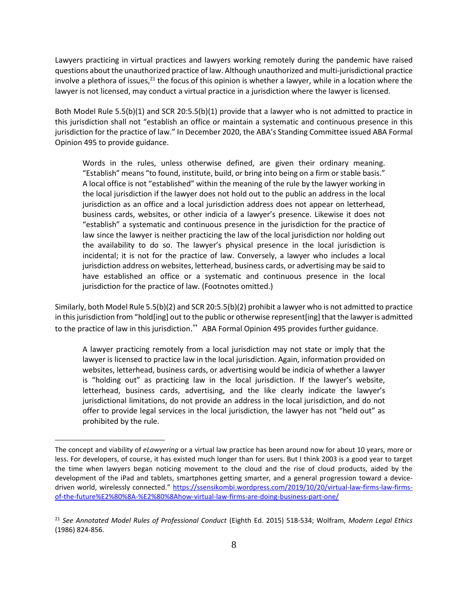Lawyers practicing in virtual practices and lawyers working remotely during the pandemic have raised questions about the unauthorized practice of law. Although unauthorized and multi-jurisdictional practice involve a plethora of issues,<sup>21</sup> the focus of this opinion is whether a lawyer, while in a location where the lawyer is not licensed, may conduct a virtual practice in a jurisdiction where the lawyer is licensed.

Both Model Rule 5.5(b)(1) and SCR 20:5.5(b)(1) provide that a lawyer who is not admitted to practice in this jurisdiction shall not "establish an office or maintain a systematic and continuous presence in this jurisdiction for the practice of law." In December 2020, the ABA's Standing Committee issued ABA Formal Opinion 495 to provide guidance.

Words in the rules, unless otherwise defined, are given their ordinary meaning. "Establish" means "to found, institute, build, or bring into being on a firm or stable basis." A local office is not "established" within the meaning of the rule by the lawyer working in the local jurisdiction if the lawyer does not hold out to the public an address in the local jurisdiction as an office and a local jurisdiction address does not appear on letterhead, business cards, websites, or other indicia of a lawyer's presence. Likewise it does not "establish" a systematic and continuous presence in the jurisdiction for the practice of law since the lawyer is neither practicing the law of the local jurisdiction nor holding out the availability to do so. The lawyer's physical presence in the local jurisdiction is incidental; it is not for the practice of law. Conversely, a lawyer who includes a local jurisdiction address on websites, letterhead, business cards, or advertising may be said to have established an office or a systematic and continuous presence in the local jurisdiction for the practice of law. (Footnotes omitted.)

Similarly, both Model Rule 5.5(b)(2) and SCR 20:5.5(b)(2) prohibit a lawyer who is not admitted to practice in this jurisdiction from "hold[ing] out to the public or otherwise represent[ing] that the lawyer is admitted to the practice of law in this jurisdiction." ABA Formal Opinion 495 provides further guidance.

A lawyer practicing remotely from a local jurisdiction may not state or imply that the lawyer is licensed to practice law in the local jurisdiction. Again, information provided on websites, letterhead, business cards, or advertising would be indicia of whether a lawyer is "holding out" as practicing law in the local jurisdiction. If the lawyer's website, letterhead, business cards, advertising, and the like clearly indicate the lawyer's jurisdictional limitations, do not provide an address in the local jurisdiction, and do not offer to provide legal services in the local jurisdiction, the lawyer has not "held out" as prohibited by the rule.

The concept and viability of *eLawyering* or a virtual law practice has been around now for about 10 years, more or less. For developers, of course, it has existed much longer than for users. But I think 2003 is a good year to target the time when lawyers began noticing movement to the cloud and the rise of cloud products, aided by the development of the iPad and tablets, smartphones getting smarter, and a general progression toward a devicedriven world, wirelessly connected." [https://ssensikombi.wordpress.com/2019/10/20/virtual-law-firms-law-firms](https://ssensikombi.wordpress.com/2019/10/20/virtual-law-firms-law-firms-of-the-future%E2%80%8A-%E2%80%8Ahow-virtual-law-firms-are-doing-business-part-one/)[of-the-future%E2%80%8A-%E2%80%8Ahow-virtual-law-firms-are-doing-business-part-one/](https://ssensikombi.wordpress.com/2019/10/20/virtual-law-firms-law-firms-of-the-future%E2%80%8A-%E2%80%8Ahow-virtual-law-firms-are-doing-business-part-one/)

<sup>21</sup> *See Annotated Model Rules of Professional Conduct* (Eighth Ed. 2015) 518-534; Wolfram, *Modern Legal Ethics* (1986) 824-856.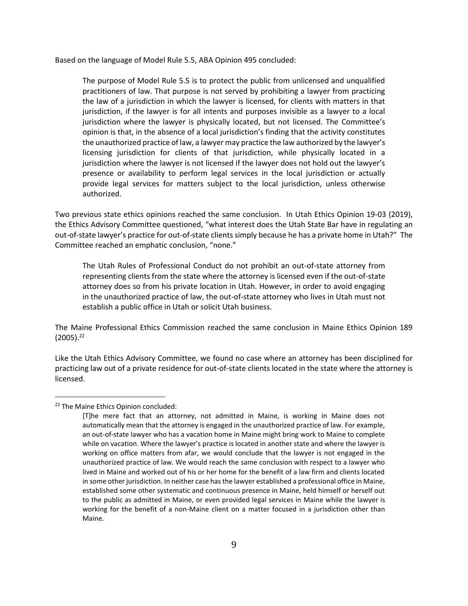Based on the language of Model Rule 5.5, ABA Opinion 495 concluded:

The purpose of Model Rule 5.5 is to protect the public from unlicensed and unqualified practitioners of law. That purpose is not served by prohibiting a lawyer from practicing the law of a jurisdiction in which the lawyer is licensed, for clients with matters in that jurisdiction, if the lawyer is for all intents and purposes invisible as a lawyer to a local jurisdiction where the lawyer is physically located, but not licensed. The Committee's opinion is that, in the absence of a local jurisdiction's finding that the activity constitutes the unauthorized practice of law, a lawyer may practice the law authorized by the lawyer's licensing jurisdiction for clients of that jurisdiction, while physically located in a jurisdiction where the lawyer is not licensed if the lawyer does not hold out the lawyer's presence or availability to perform legal services in the local jurisdiction or actually provide legal services for matters subject to the local jurisdiction, unless otherwise authorized.

Two previous state ethics opinions reached the same conclusion. In Utah Ethics Opinion 19-03 (2019), the Ethics Advisory Committee questioned, "what interest does the Utah State Bar have in regulating an out-of-state lawyer's practice for out-of-state clients simply because he has a private home in Utah?" The Committee reached an emphatic conclusion, "none."

The Utah Rules of Professional Conduct do not prohibit an out-of-state attorney from representing clients from the state where the attorney is licensed even if the out-of-state attorney does so from his private location in Utah. However, in order to avoid engaging in the unauthorized practice of law, the out-of-state attorney who lives in Utah must not establish a public office in Utah or solicit Utah business.

The Maine Professional Ethics Commission reached the same conclusion in Maine Ethics Opinion 189  $(2005).^{22}$ 

Like the Utah Ethics Advisory Committee, we found no case where an attorney has been disciplined for practicing law out of a private residence for out-of-state clients located in the state where the attorney is licensed.

<sup>&</sup>lt;sup>22</sup> The Maine Ethics Opinion concluded:

<sup>[</sup>T]he mere fact that an attorney, not admitted in Maine, is working in Maine does not automatically mean that the attorney is engaged in the unauthorized practice of law. For example, an out-of-state lawyer who has a vacation home in Maine might bring work to Maine to complete while on vacation. Where the lawyer's practice is located in another state and where the lawyer is working on office matters from afar, we would conclude that the lawyer is not engaged in the unauthorized practice of law. We would reach the same conclusion with respect to a lawyer who lived in Maine and worked out of his or her home for the benefit of a law firm and clients located in some other jurisdiction. In neither case has the lawyer established a professional office in Maine, established some other systematic and continuous presence in Maine, held himself or herself out to the public as admitted in Maine, or even provided legal services in Maine while the lawyer is working for the benefit of a non-Maine client on a matter focused in a jurisdiction other than Maine.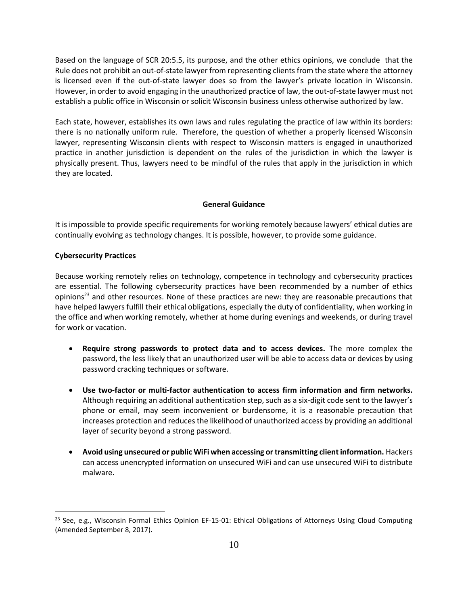Based on the language of SCR 20:5.5, its purpose, and the other ethics opinions, we conclude that the Rule does not prohibit an out-of-state lawyer from representing clients from the state where the attorney is licensed even if the out-of-state lawyer does so from the lawyer's private location in Wisconsin. However, in order to avoid engaging in the unauthorized practice of law, the out-of-state lawyer must not establish a public office in Wisconsin or solicit Wisconsin business unless otherwise authorized by law.

Each state, however, establishes its own laws and rules regulating the practice of law within its borders: there is no nationally uniform rule. Therefore, the question of whether a properly licensed Wisconsin lawyer, representing Wisconsin clients with respect to Wisconsin matters is engaged in unauthorized practice in another jurisdiction is dependent on the rules of the jurisdiction in which the lawyer is physically present. Thus, lawyers need to be mindful of the rules that apply in the jurisdiction in which they are located.

### **General Guidance**

It is impossible to provide specific requirements for working remotely because lawyers' ethical duties are continually evolving as technology changes. It is possible, however, to provide some guidance.

### **Cybersecurity Practices**

Because working remotely relies on technology, competence in technology and cybersecurity practices are essential. The following cybersecurity practices have been recommended by a number of ethics opinions<sup>23</sup> and other resources. None of these practices are new: they are reasonable precautions that have helped lawyers fulfill their ethical obligations, especially the duty of confidentiality, when working in the office and when working remotely, whether at home during evenings and weekends, or during travel for work or vacation.

- **Require strong passwords to protect data and to access devices.** The more complex the password, the less likely that an unauthorized user will be able to access data or devices by using password cracking techniques or software.
- **Use two-factor or multi-factor authentication to access firm information and firm networks.** Although requiring an additional authentication step, such as a six-digit code sent to the lawyer's phone or email, may seem inconvenient or burdensome, it is a reasonable precaution that increases protection and reduces the likelihood of unauthorized access by providing an additional layer of security beyond a strong password.
- **Avoid using unsecured or public WiFi when accessing or transmitting client information.** Hackers can access unencrypted information on unsecured WiFi and can use unsecured WiFi to distribute malware.

<sup>&</sup>lt;sup>23</sup> See, e.g., Wisconsin Formal Ethics Opinion EF-15-01: Ethical Obligations of Attorneys Using Cloud Computing (Amended September 8, 2017).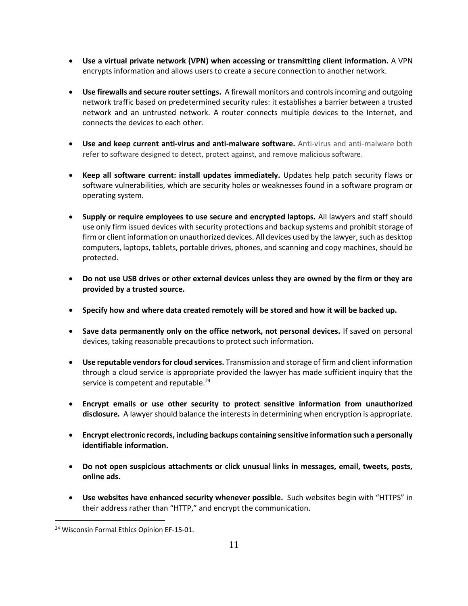- **Use a virtual private network (VPN) when accessing or transmitting client information.** A VPN encrypts information and allows users to create a secure connection to another network.
- **Use firewalls and secure router settings.** A firewall monitors and controls incoming and outgoing network traffic based on predetermined security rules: it establishes a barrier between a trusted network and an untrusted network. A router connects multiple devices to the Internet, and connects the devices to each other.
- **Use and keep current anti-virus and anti-malware software.** Anti-virus and anti-malware both refer to software designed to detect, protect against, and remove malicious software.
- **Keep all software current: install updates immediately.** Updates help patch security flaws or software vulnerabilities, which are security holes or weaknesses found in a software program or operating system.
- **Supply or require employees to use secure and encrypted laptops.** All lawyers and staff should use only firm issued devices with security protections and backup systems and prohibit storage of firm or client information on unauthorized devices. All devices used by the lawyer, such as desktop computers, laptops, tablets, portable drives, phones, and scanning and copy machines, should be protected.
- **Do not use USB drives or other external devices unless they are owned by the firm or they are provided by a trusted source.**
- **Specify how and where data created remotely will be stored and how it will be backed up.**
- **Save data permanently only on the office network, not personal devices.** If saved on personal devices, taking reasonable precautions to protect such information.
- **Use reputable vendors for cloud services.** Transmission and storage of firm and client information through a cloud service is appropriate provided the lawyer has made sufficient inquiry that the service is competent and reputable.<sup>24</sup>
- **Encrypt emails or use other security to protect sensitive information from unauthorized disclosure.** A lawyer should balance the interests in determining when encryption is appropriate.
- **Encrypt electronic records, including backups containing sensitive information such a personally identifiable information.**
- **Do not open suspicious attachments or click unusual links in messages, email, tweets, posts, online ads.**
- **Use websites have enhanced security whenever possible.** Such websites begin with "HTTPS" in their address rather than "HTTP," and encrypt the communication.

<sup>&</sup>lt;sup>24</sup> Wisconsin Formal Ethics Opinion EF-15-01.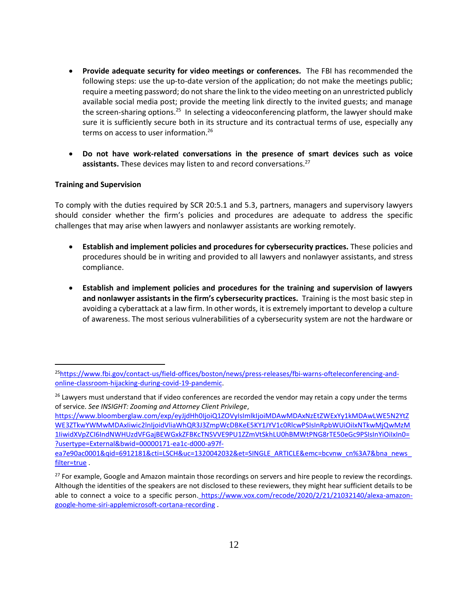- **Provide adequate security for video meetings or conferences.** The FBI has recommended the following steps: use the up-to-date version of the application; do not make the meetings public; require a meeting password; do not share the link to the video meeting on an unrestricted publicly available social media post; provide the meeting link directly to the invited guests; and manage the screen-sharing options.<sup>25</sup> In selecting a videoconferencing platform, the lawyer should make sure it is sufficiently secure both in its structure and its contractual terms of use, especially any terms on access to user information. 26
- **Do not have work-related conversations in the presence of smart devices such as voice**  assistants. These devices may listen to and record conversations.<sup>27</sup>

### **Training and Supervision**

To comply with the duties required by SCR 20:5.1 and 5.3, partners, managers and supervisory lawyers should consider whether the firm's policies and procedures are adequate to address the specific challenges that may arise when lawyers and nonlawyer assistants are working remotely.

- **Establish and implement policies and procedures for cybersecurity practices.** These policies and procedures should be in writing and provided to all lawyers and nonlawyer assistants, and stress compliance.
- **Establish and implement policies and procedures for the training and supervision of lawyers and nonlawyer assistants in the firm's cybersecurity practices.** Training is the most basic step in avoiding a cyberattack at a law firm. In other words, it is extremely important to develop a culture of awareness. The most serious vulnerabilities of a cybersecurity system are not the hardware or

<sup>25</sup>[https://www.fbi.gov/contact-us/field-offices/boston/news/press-releases/fbi-warns-ofteleconferencing-and](https://www.fbi.gov/contact-us/field-offices/boston/news/press-releases/fbi-warns-ofteleconferencing-and-online-classroom-hijacking-during-covid-19-pandemic)[online-classroom-hijacking-during-covid-19-pandemic.](https://www.fbi.gov/contact-us/field-offices/boston/news/press-releases/fbi-warns-ofteleconferencing-and-online-classroom-hijacking-during-covid-19-pandemic)

<sup>&</sup>lt;sup>26</sup> Lawyers must understand that if video conferences are recorded the vendor may retain a copy under the terms of service. *See INSIGHT: Zooming and Attorney Client Privilege*,

[https://www.bloomberglaw.com/exp/eyJjdHh0IjoiQ1ZOVyIsImlkIjoiMDAwMDAxNzEtZWExYy1kMDAwLWE5N2YtZ](https://www.bloomberglaw.com/exp/eyJjdHh0IjoiQ1ZOVyIsImlkIjoiMDAwMDAxNzEtZWExYy1kMDAwLWE5N2YtZWE3ZTkwYWMwMDAxIiwic2lnIjoidVliaWhQR3J3ZmpWcDBKeE5KY1JYV1c0RlcwPSIsInRpbWUiOiIxNTkwMjQwMzM1IiwidXVpZCI6IndNWHUzdVFGajBEWGxkZFBKcTNSVVE9PU1ZZmVtSkhLU0hBMWtPNG8rTE50eGc9PSIsInYiOiIxIn0=?usertype=External&bwid=00000171-ea1c-d000-a97f-ea7e90ac0001&qid=6912181&cti=LSCH&uc=1320042032&et=SINGLE_ARTICLE&emc=bcvnw_cn%3A7&bna_news_filter=true) [WE3ZTkwYWMwMDAxIiwic2lnIjoidVliaWhQR3J3ZmpWcDBKeE5KY1JYV1c0RlcwPSIsInRpbWUiOiIxNTkwMjQwMzM](https://www.bloomberglaw.com/exp/eyJjdHh0IjoiQ1ZOVyIsImlkIjoiMDAwMDAxNzEtZWExYy1kMDAwLWE5N2YtZWE3ZTkwYWMwMDAxIiwic2lnIjoidVliaWhQR3J3ZmpWcDBKeE5KY1JYV1c0RlcwPSIsInRpbWUiOiIxNTkwMjQwMzM1IiwidXVpZCI6IndNWHUzdVFGajBEWGxkZFBKcTNSVVE9PU1ZZmVtSkhLU0hBMWtPNG8rTE50eGc9PSIsInYiOiIxIn0=?usertype=External&bwid=00000171-ea1c-d000-a97f-ea7e90ac0001&qid=6912181&cti=LSCH&uc=1320042032&et=SINGLE_ARTICLE&emc=bcvnw_cn%3A7&bna_news_filter=true) [1IiwidXVpZCI6IndNWHUzdVFGajBEWGxkZFBKcTNSVVE9PU1ZZmVtSkhLU0hBMWtPNG8rTE50eGc9PSIsInYiOiIxIn0=](https://www.bloomberglaw.com/exp/eyJjdHh0IjoiQ1ZOVyIsImlkIjoiMDAwMDAxNzEtZWExYy1kMDAwLWE5N2YtZWE3ZTkwYWMwMDAxIiwic2lnIjoidVliaWhQR3J3ZmpWcDBKeE5KY1JYV1c0RlcwPSIsInRpbWUiOiIxNTkwMjQwMzM1IiwidXVpZCI6IndNWHUzdVFGajBEWGxkZFBKcTNSVVE9PU1ZZmVtSkhLU0hBMWtPNG8rTE50eGc9PSIsInYiOiIxIn0=?usertype=External&bwid=00000171-ea1c-d000-a97f-ea7e90ac0001&qid=6912181&cti=LSCH&uc=1320042032&et=SINGLE_ARTICLE&emc=bcvnw_cn%3A7&bna_news_filter=true) [?usertype=External&bwid=00000171-ea1c-d000-a97f-](https://www.bloomberglaw.com/exp/eyJjdHh0IjoiQ1ZOVyIsImlkIjoiMDAwMDAxNzEtZWExYy1kMDAwLWE5N2YtZWE3ZTkwYWMwMDAxIiwic2lnIjoidVliaWhQR3J3ZmpWcDBKeE5KY1JYV1c0RlcwPSIsInRpbWUiOiIxNTkwMjQwMzM1IiwidXVpZCI6IndNWHUzdVFGajBEWGxkZFBKcTNSVVE9PU1ZZmVtSkhLU0hBMWtPNG8rTE50eGc9PSIsInYiOiIxIn0=?usertype=External&bwid=00000171-ea1c-d000-a97f-ea7e90ac0001&qid=6912181&cti=LSCH&uc=1320042032&et=SINGLE_ARTICLE&emc=bcvnw_cn%3A7&bna_news_filter=true)

[ea7e90ac0001&qid=6912181&cti=LSCH&uc=1320042032&et=SINGLE\\_ARTICLE&emc=bcvnw\\_cn%3A7&bna\\_news\\_](https://www.bloomberglaw.com/exp/eyJjdHh0IjoiQ1ZOVyIsImlkIjoiMDAwMDAxNzEtZWExYy1kMDAwLWE5N2YtZWE3ZTkwYWMwMDAxIiwic2lnIjoidVliaWhQR3J3ZmpWcDBKeE5KY1JYV1c0RlcwPSIsInRpbWUiOiIxNTkwMjQwMzM1IiwidXVpZCI6IndNWHUzdVFGajBEWGxkZFBKcTNSVVE9PU1ZZmVtSkhLU0hBMWtPNG8rTE50eGc9PSIsInYiOiIxIn0=?usertype=External&bwid=00000171-ea1c-d000-a97f-ea7e90ac0001&qid=6912181&cti=LSCH&uc=1320042032&et=SINGLE_ARTICLE&emc=bcvnw_cn%3A7&bna_news_filter=true) [filter=true](https://www.bloomberglaw.com/exp/eyJjdHh0IjoiQ1ZOVyIsImlkIjoiMDAwMDAxNzEtZWExYy1kMDAwLWE5N2YtZWE3ZTkwYWMwMDAxIiwic2lnIjoidVliaWhQR3J3ZmpWcDBKeE5KY1JYV1c0RlcwPSIsInRpbWUiOiIxNTkwMjQwMzM1IiwidXVpZCI6IndNWHUzdVFGajBEWGxkZFBKcTNSVVE9PU1ZZmVtSkhLU0hBMWtPNG8rTE50eGc9PSIsInYiOiIxIn0=?usertype=External&bwid=00000171-ea1c-d000-a97f-ea7e90ac0001&qid=6912181&cti=LSCH&uc=1320042032&et=SINGLE_ARTICLE&emc=bcvnw_cn%3A7&bna_news_filter=true) .

<sup>&</sup>lt;sup>27</sup> For example, Google and Amazon maintain those recordings on servers and hire people to review the recordings. Although the identities of the speakers are not disclosed to these reviewers, they might hear sufficient details to be able to connect a voice to a specific person. [https://www.vox.com/recode/2020/2/21/21032140/alexa-amazon](https://www.vox.com/recode/2020/2/21/21032140/alexa-amazon-google-home-siri-applemicrosoft-cortana-recording)[google-home-siri-applemicrosoft-cortana-recording](https://www.vox.com/recode/2020/2/21/21032140/alexa-amazon-google-home-siri-applemicrosoft-cortana-recording) .